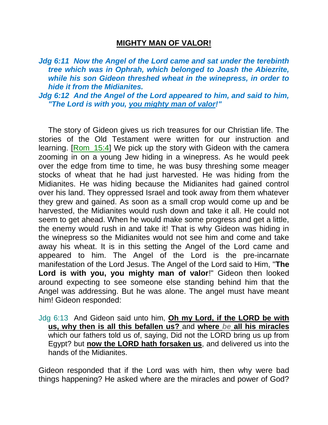# **MIGHTY MAN OF VALOR!**

*Jdg 6:11 Now the Angel of the Lord came and sat under the terebinth tree which was in Ophrah, which belonged to Joash the Abiezrite, while his son Gideon threshed wheat in the winepress, in order to hide it from the Midianites.* 

*Jdg 6:12 And the Angel of the Lord appeared to him, and said to him, "The Lord is with you, you mighty man of valor!"* 

The story of Gideon gives us rich treasures for our Christian life. The stories of the Old Testament were written for our instruction and learning. [Rom 15:4] We pick up the story with Gideon with the camera zooming in on a young Jew hiding in a winepress. As he would peek over the edge from time to time, he was busy threshing some meager stocks of wheat that he had just harvested. He was hiding from the Midianites. He was hiding because the Midianites had gained control over his land. They oppressed Israel and took away from them whatever they grew and gained. As soon as a small crop would come up and be harvested, the Midianites would rush down and take it all. He could not seem to get ahead. When he would make some progress and get a little, the enemy would rush in and take it! That is why Gideon was hiding in the winepress so the Midianites would not see him and come and take away his wheat. It is in this setting the Angel of the Lord came and appeared to him. The Angel of the Lord is the pre-incarnate manifestation of the Lord Jesus. The Angel of the Lord said to Him, "**The Lord is with you, you mighty man of valor**!" Gideon then looked around expecting to see someone else standing behind him that the Angel was addressing. But he was alone. The angel must have meant him! Gideon responded:

Jdg 6:13 And Gideon said unto him, **Oh my Lord, if the LORD be with us, why then is all this befallen us?** and **where** *be* **all his miracles** which our fathers told us of, saying, Did not the LORD bring us up from Egypt? but **now the LORD hath forsaken us**, and delivered us into the hands of the Midianites.

Gideon responded that if the Lord was with him, then why were bad things happening? He asked where are the miracles and power of God?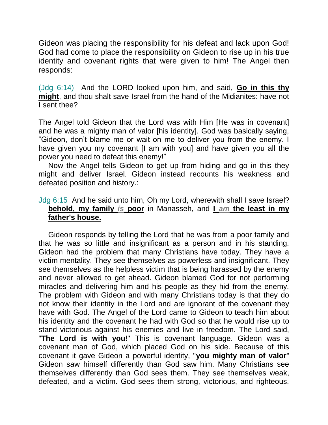Gideon was placing the responsibility for his defeat and lack upon God! God had come to place the responsibility on Gideon to rise up in his true identity and covenant rights that were given to him! The Angel then responds:

(Jdg 6:14) And the LORD looked upon him, and said, **Go in this thy might**, and thou shalt save Israel from the hand of the Midianites: have not I sent thee?

The Angel told Gideon that the Lord was with Him [He was in covenant] and he was a mighty man of valor [his identity]. God was basically saying, "Gideon, don't blame me or wait on me to deliver you from the enemy. I have given you my covenant [I am with you] and have given you all the power you need to defeat this enemy!"

Now the Angel tells Gideon to get up from hiding and go in this they might and deliver Israel. Gideon instead recounts his weakness and defeated position and history.:

## Jdg 6:15 And he said unto him, Oh my Lord, wherewith shall I save Israel? **behold, my family** *is* **poor** in Manasseh, and **I** *am* **the least in my father's house.**

Gideon responds by telling the Lord that he was from a poor family and that he was so little and insignificant as a person and in his standing. Gideon had the problem that many Christians have today. They have a victim mentality. They see themselves as powerless and insignificant. They see themselves as the helpless victim that is being harassed by the enemy and never allowed to get ahead. Gideon blamed God for not performing miracles and delivering him and his people as they hid from the enemy. The problem with Gideon and with many Christians today is that they do not know their identity in the Lord and are ignorant of the covenant they have with God. The Angel of the Lord came to Gideon to teach him about his identity and the covenant he had with God so that he would rise up to stand victorious against his enemies and live in freedom. The Lord said, "**The Lord is with you**!" This is covenant language. Gideon was a covenant man of God, which placed God on his side. Because of this covenant it gave Gideon a powerful identity, "**you mighty man of valor**" Gideon saw himself differently than God saw him. Many Christians see themselves differently than God sees them. They see themselves weak, defeated, and a victim. God sees them strong, victorious, and righteous.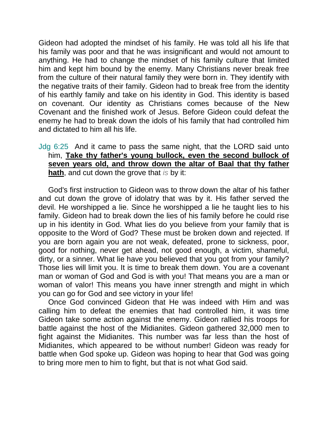Gideon had adopted the mindset of his family. He was told all his life that his family was poor and that he was insignificant and would not amount to anything. He had to change the mindset of his family culture that limited him and kept him bound by the enemy. Many Christians never break free from the culture of their natural family they were born in. They identify with the negative traits of their family. Gideon had to break free from the identity of his earthly family and take on his identity in God. This identity is based on covenant. Our identity as Christians comes because of the New Covenant and the finished work of Jesus. Before Gideon could defeat the enemy he had to break down the idols of his family that had controlled him and dictated to him all his life.

### Jdg 6:25 And it came to pass the same night, that the LORD said unto him, **Take thy father's young bullock, even the second bullock of seven years old, and throw down the altar of Baal that thy father hath**, and cut down the grove that *is* by it:

God's first instruction to Gideon was to throw down the altar of his father and cut down the grove of idolatry that was by it. His father served the devil. He worshipped a lie. Since he worshipped a lie he taught lies to his family. Gideon had to break down the lies of his family before he could rise up in his identity in God. What lies do you believe from your family that is opposite to the Word of God? These must be broken down and rejected. If you are born again you are not weak, defeated, prone to sickness, poor, good for nothing, never get ahead, not good enough, a victim, shameful, dirty, or a sinner. What lie have you believed that you got from your family? Those lies will limit you. It is time to break them down. You are a covenant man or woman of God and God is with you! That means you are a man or woman of valor! This means you have inner strength and might in which you can go for God and see victory in your life!

Once God convinced Gideon that He was indeed with Him and was calling him to defeat the enemies that had controlled him, it was time Gideon take some action against the enemy. Gideon rallied his troops for battle against the host of the Midianites. Gideon gathered 32,000 men to fight against the Midianites. This number was far less than the host of Midianites, which appeared to be without number! Gideon was ready for battle when God spoke up. Gideon was hoping to hear that God was going to bring more men to him to fight, but that is not what God said.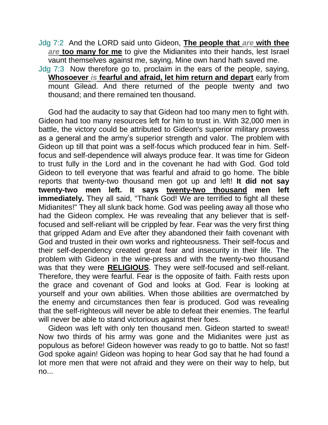Jdg 7:2 And the LORD said unto Gideon, **The people that** *are* **with thee**  *are* **too many for me** to give the Midianites into their hands, lest Israel vaunt themselves against me, saying, Mine own hand hath saved me.

Jdg 7:3 Now therefore go to, proclaim in the ears of the people, saying, **Whosoever** *is* **fearful and afraid, let him return and depart** early from mount Gilead. And there returned of the people twenty and two thousand; and there remained ten thousand.

God had the audacity to say that Gideon had too many men to fight with. Gideon had too many resources left for him to trust in. With 32,000 men in battle, the victory could be attributed to Gideon's superior military prowess as a general and the army's superior strength and valor. The problem with Gideon up till that point was a self-focus which produced fear in him. Selffocus and self-dependence will always produce fear. It was time for Gideon to trust fully in the Lord and in the covenant he had with God. God told Gideon to tell everyone that was fearful and afraid to go home. The bible reports that twenty-two thousand men got up and left! **It did not say twenty-two men left. It says twenty-two thousand men left immediately.** They all said, "Thank God! We are terrified to fight all these Midianites!" They all slunk back home. God was peeling away all those who had the Gideon complex. He was revealing that any believer that is selffocused and self-reliant will be crippled by fear. Fear was the very first thing that gripped Adam and Eve after they abandoned their faith covenant with God and trusted in their own works and righteousness. Their self-focus and their self-dependency created great fear and insecurity in their life. The problem with Gideon in the wine-press and with the twenty-two thousand was that they were **RELIGIOUS**. They were self-focused and self-reliant. Therefore, they were fearful. Fear is the opposite of faith. Faith rests upon the grace and covenant of God and looks at God. Fear is looking at yourself and your own abilities. When those abilities are overmatched by the enemy and circumstances then fear is produced. God was revealing that the self-righteous will never be able to defeat their enemies. The fearful will never be able to stand victorious against their foes.

Gideon was left with only ten thousand men. Gideon started to sweat! Now two thirds of his army was gone and the Midianites were just as populous as before! Gideon however was ready to go to battle. Not so fast! God spoke again! Gideon was hoping to hear God say that he had found a lot more men that were not afraid and they were on their way to help, but no...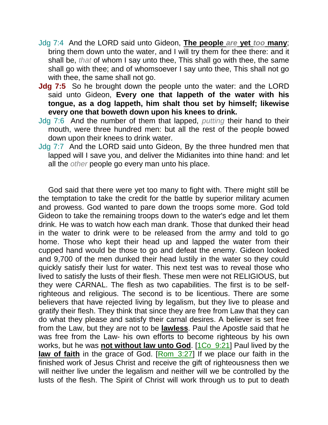- Jdg 7:4 And the LORD said unto Gideon, **The people** *are* **yet** *too* **many**; bring them down unto the water, and I will try them for thee there: and it shall be, *that* of whom I say unto thee, This shall go with thee, the same shall go with thee; and of whomsoever I say unto thee, This shall not go with thee, the same shall not go.
- **Jdg 7:5** So he brought down the people unto the water: and the LORD said unto Gideon, **Every one that lappeth of the water with his tongue, as a dog lappeth, him shalt thou set by himself; likewise every one that boweth down upon his knees to drink.**
- Jdg 7:6 And the number of them that lapped, *putting* their hand to their mouth, were three hundred men: but all the rest of the people bowed down upon their knees to drink water.
- Jdg 7:7 And the LORD said unto Gideon, By the three hundred men that lapped will I save you, and deliver the Midianites into thine hand: and let all the *other* people go every man unto his place.

God said that there were yet too many to fight with. There might still be the temptation to take the credit for the battle by superior military acumen and prowess. God wanted to pare down the troops some more. God told Gideon to take the remaining troops down to the water's edge and let them drink. He was to watch how each man drank. Those that dunked their head in the water to drink were to be released from the army and told to go home. Those who kept their head up and lapped the water from their cupped hand would be those to go and defeat the enemy. Gideon looked and 9,700 of the men dunked their head lustily in the water so they could quickly satisfy their lust for water. This next test was to reveal those who lived to satisfy the lusts of their flesh. These men were not RELIGIOUS, but they were CARNAL. The flesh as two capabilities. The first is to be selfrighteous and religious. The second is to be licentious. There are some believers that have rejected living by legalism, but they live to please and gratify their flesh. They think that since they are free from Law that they can do what they please and satisfy their carnal desires. A believer is set free from the Law, but they are not to be **lawless**. Paul the Apostle said that he was free from the Law- his own efforts to become righteous by his own works, but he was **not without law unto God**. [1Co\_9:21] Paul lived by the **law of faith** in the grace of God. [Rom\_3:27] If we place our faith in the finished work of Jesus Christ and receive the gift of righteousness then we will neither live under the legalism and neither will we be controlled by the lusts of the flesh. The Spirit of Christ will work through us to put to death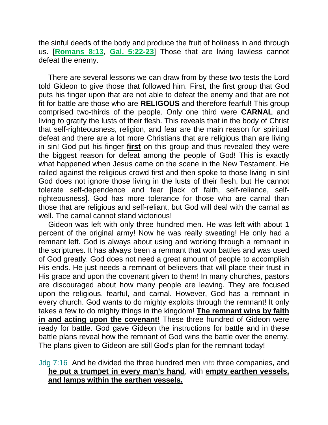the sinful deeds of the body and produce the fruit of holiness in and through us. [**Romans 8:13**, **Gal. 5:22-23**] Those that are living lawless cannot defeat the enemy.

There are several lessons we can draw from by these two tests the Lord told Gideon to give those that followed him. First, the first group that God puts his finger upon that are not able to defeat the enemy and that are not fit for battle are those who are **RELIGOUS** and therefore fearful! This group comprised two-thirds of the people. Only one third were **CARNAL** and living to gratify the lusts of their flesh. This reveals that in the body of Christ that self-righteousness, religion, and fear are the main reason for spiritual defeat and there are a lot more Christians that are religious than are living in sin! God put his finger **first** on this group and thus revealed they were the biggest reason for defeat among the people of God! This is exactly what happened when Jesus came on the scene in the New Testament. He railed against the religious crowd first and then spoke to those living in sin! God does not ignore those living in the lusts of their flesh, but He cannot tolerate self-dependence and fear [lack of faith, self-reliance, selfrighteousness]. God has more tolerance for those who are carnal than those that are religious and self-reliant, but God will deal with the carnal as well. The carnal cannot stand victorious!

Gideon was left with only three hundred men. He was left with about 1 percent of the original army! Now he was really sweating! He only had a remnant left. God is always about using and working through a remnant in the scriptures. It has always been a remnant that won battles and was used of God greatly. God does not need a great amount of people to accomplish His ends. He just needs a remnant of believers that will place their trust in His grace and upon the covenant given to them! In many churches, pastors are discouraged about how many people are leaving. They are focused upon the religious, fearful, and carnal. However, God has a remnant in every church. God wants to do mighty exploits through the remnant! It only takes a few to do mighty things in the kingdom! **The remnant wins by faith in and acting upon the covenant!** These three hundred of Gideon were ready for battle. God gave Gideon the instructions for battle and in these battle plans reveal how the remnant of God wins the battle over the enemy. The plans given to Gideon are still God's plan for the remnant today!

# Jdg 7:16 And he divided the three hundred men *into* three companies, and **he put a trumpet in every man's hand**, with **empty earthen vessels, and lamps within the earthen vessels.**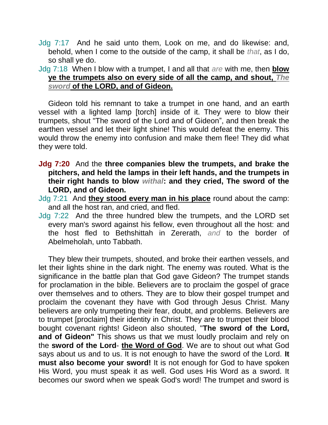Jdg 7:17 And he said unto them, Look on me, and do likewise: and, behold, when I come to the outside of the camp, it shall be *that*, as I do, so shall ye do.

# Jdg 7:18 When I blow with a trumpet, I and all that *are* with me, then **blow ye the trumpets also on every side of all the camp, and shout,** *The sword* **of the LORD, and of Gideon.**

Gideon told his remnant to take a trumpet in one hand, and an earth vessel with a lighted lamp [torch] inside of it. They were to blow their trumpets, shout "The sword of the Lord and of Gideon", and then break the earthen vessel and let their light shine! This would defeat the enemy. This would throw the enemy into confusion and make them flee! They did what they were told.

- **Jdg 7:20** And the **three companies blew the trumpets, and brake the pitchers, and held the lamps in their left hands, and the trumpets in their right hands to blow** *withal***: and they cried, The sword of the LORD, and of Gideon.**
- Jdg 7:21 And **they stood every man in his place** round about the camp: and all the host ran, and cried, and fled.
- Jdg 7:22 And the three hundred blew the trumpets, and the LORD set every man's sword against his fellow, even throughout all the host: and the host fled to Bethshittah in Zererath, *and* to the border of Abelmeholah, unto Tabbath.

They blew their trumpets, shouted, and broke their earthen vessels, and let their lights shine in the dark night. The enemy was routed. What is the significance in the battle plan that God gave Gideon? The trumpet stands for proclamation in the bible. Believers are to proclaim the gospel of grace over themselves and to others. They are to blow their gospel trumpet and proclaim the covenant they have with God through Jesus Christ. Many believers are only trumpeting their fear, doubt, and problems. Believers are to trumpet [proclaim] their identity in Christ. They are to trumpet their blood bought covenant rights! Gideon also shouted, "**The sword of the Lord, and of Gideon"** This shows us that we must loudly proclaim and rely on the **sword of the Lord**- **the Word of God**. We are to shout out what God says about us and to us. It is not enough to have the sword of the Lord. **It must also become your sword!** It is not enough for God to have spoken His Word, you must speak it as well. God uses His Word as a sword. It becomes our sword when we speak God's word! The trumpet and sword is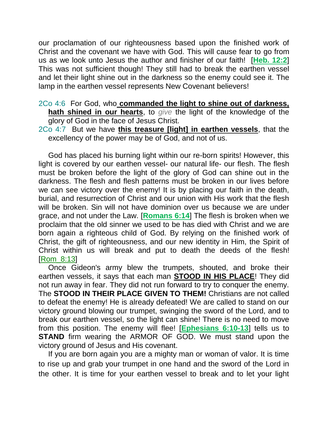our proclamation of our righteousness based upon the finished work of Christ and the covenant we have with God. This will cause fear to go from us as we look unto Jesus the author and finisher of our faith! [**Heb. 12:2**] This was not sufficient though! They still had to break the earthen vessel and let their light shine out in the darkness so the enemy could see it. The lamp in the earthen vessel represents New Covenant believers!

2Co 4:6 For God, who **commanded the light to shine out of darkness, hath shined in our hearts**, to *give* the light of the knowledge of the glory of God in the face of Jesus Christ.

2Co 4:7 But we have **this treasure [light] in earthen vessels**, that the excellency of the power may be of God, and not of us.

God has placed his burning light within our re-born spirits! However, this light is covered by our earthen vessel- our natural life- our flesh. The flesh must be broken before the light of the glory of God can shine out in the darkness. The flesh and flesh patterns must be broken in our lives before we can see victory over the enemy! It is by placing our faith in the death, burial, and resurrection of Christ and our union with His work that the flesh will be broken. Sin will not have dominion over us because we are under grace, and not under the Law. [**Romans 6:14**] The flesh is broken when we proclaim that the old sinner we used to be has died with Christ and we are born again a righteous child of God. By relying on the finished work of Christ, the gift of righteousness, and our new identity in Him, the Spirit of Christ within us will break and put to death the deeds of the flesh! [Rom\_8:13]

Once Gideon's army blew the trumpets, shouted, and broke their earthen vessels, it says that each man **STOOD IN HIS PLACE**! They did not run away in fear. They did not run forward to try to conquer the enemy. The **STOOD IN THEIR PLACE GIVEN TO THEM!** Christians are not called to defeat the enemy! He is already defeated! We are called to stand on our victory ground blowing our trumpet, swinging the sword of the Lord, and to break our earthen vessel, so the light can shine! There is no need to move from this position. The enemy will flee! [**Ephesians 6:10-13**] tells us to **STAND** firm wearing the ARMOR OF GOD. We must stand upon the victory ground of Jesus and His covenant.

If you are born again you are a mighty man or woman of valor. It is time to rise up and grab your trumpet in one hand and the sword of the Lord in the other. It is time for your earthen vessel to break and to let your light